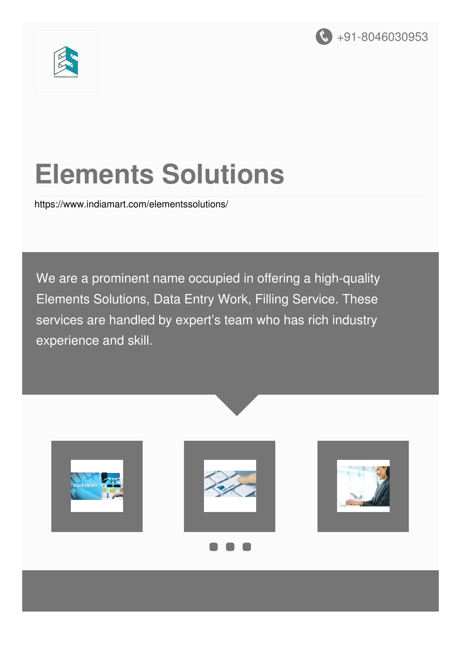



# **Elements Solutions**

<https://www.indiamart.com/elementssolutions/>

We are a prominent name occupied in offering a high-quality Elements Solutions, Data Entry Work, Filling Service. These services are handled by expert's team who has rich industry experience and skill.

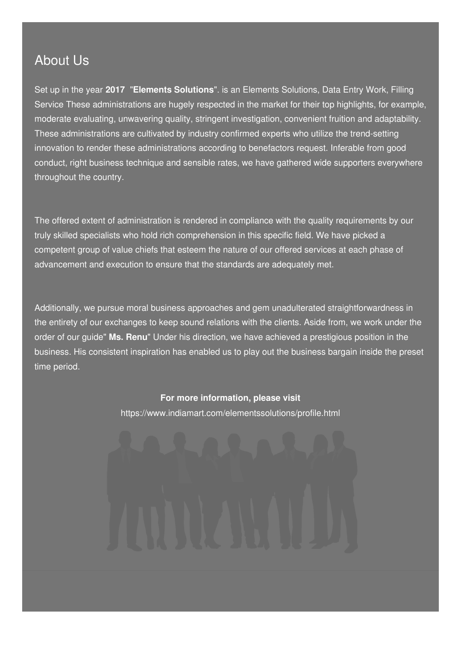#### About Us

Set up in the year **2017** "**Elements Solutions**". is an Elements Solutions, Data Entry Work, Filling Service These administrations are hugely respected in the market for their top highlights, for example, moderate evaluating, unwavering quality, stringent investigation, convenient fruition and adaptability. These administrations are cultivated by industry confirmed experts who utilize the trend-setting innovation to render these administrations according to benefactors request. Inferable from good conduct, right business technique and sensible rates, we have gathered wide supporters everywhere throughout the country.

The offered extent of administration is rendered in compliance with the quality requirements by our truly skilled specialists who hold rich comprehension in this specific field. We have picked a competent group of value chiefs that esteem the nature of our offered services at each phase of advancement and execution to ensure that the standards are adequately met.

Additionally, we pursue moral business approaches and gem unadulterated straightforwardness in the entirety of our exchanges to keep sound relations with the clients. Aside from, we work under the order of our guide" **Ms. Renu**" Under his direction, we have achieved a prestigious position in the business. His consistent inspiration has enabled us to play out the business bargain inside the preset time period.

#### **For more information, please visit**

<https://www.indiamart.com/elementssolutions/profile.html>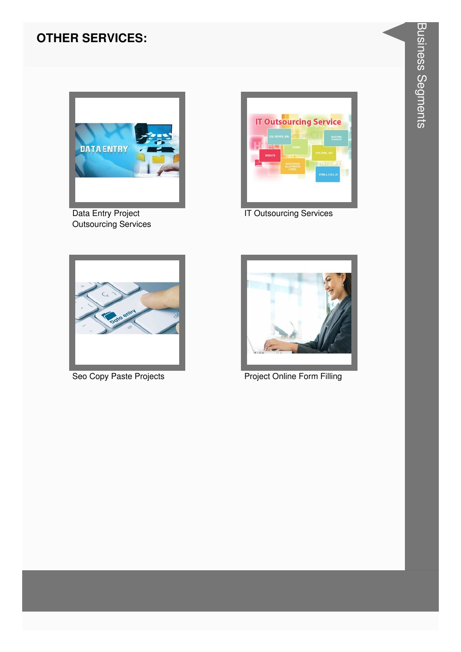#### **OTHER SERVICES:**



Data Entry Project Outsourcing Services



IT Outsourcing Services





Seo Copy Paste Projects **Project Project Online Form Filling**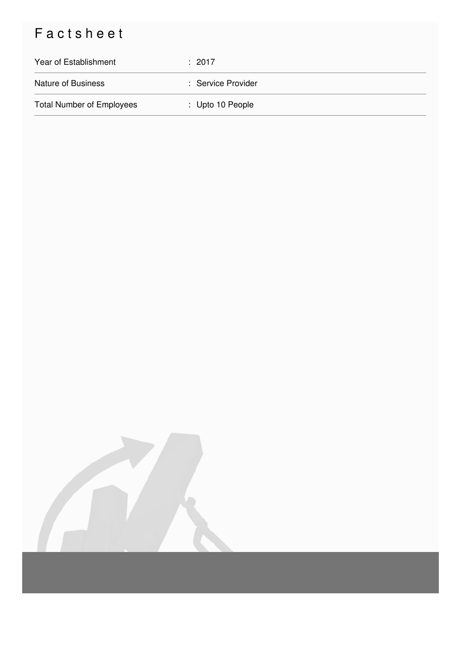## Factsheet

| Year of Establishment            | : 2017                      |
|----------------------------------|-----------------------------|
| <b>Nature of Business</b>        | : Service Provider          |
| <b>Total Number of Employees</b> | $\therefore$ Upto 10 People |